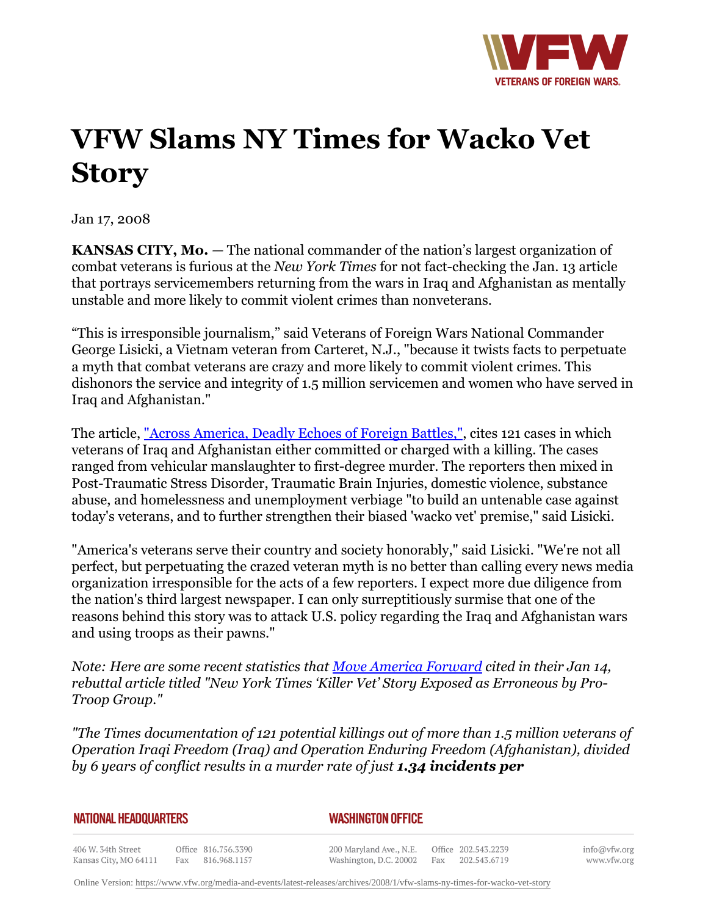

## **VFW Slams NY Times for Wacko Vet Story**

Jan 17, 2008

**KANSAS CITY, Mo.** *—* The national commander of the nation's largest organization of combat veterans is furious at the *New York Times* for not fact-checking the Jan. 13 article that portrays servicemembers returning from the wars in Iraq and Afghanistan as mentally unstable and more likely to commit violent crimes than nonveterans.

"This is irresponsible journalism," said Veterans of Foreign Wars National Commander George Lisicki, a Vietnam veteran from Carteret, N.J., "because it twists facts to perpetuate a myth that combat veterans are crazy and more likely to commit violent crimes. This dishonors the service and integrity of 1.5 million servicemen and women who have served in Iraq and Afghanistan."

The article, ["Across America, Deadly Echoes of Foreign Battles,"](http:http://www.nytimes.com/2008/01/13/us/13vets.html), cites 121 cases in which veterans of Iraq and Afghanistan either committed or charged with a killing. The cases ranged from vehicular manslaughter to first-degree murder. The reporters then mixed in Post-Traumatic Stress Disorder, Traumatic Brain Injuries, domestic violence, substance abuse, and homelessness and unemployment verbiage "to build an untenable case against today's veterans, and to further strengthen their biased 'wacko vet' premise," said Lisicki.

"America's veterans serve their country and society honorably," said Lisicki. "We're not all perfect, but perpetuating the crazed veteran myth is no better than calling every news media organization irresponsible for the acts of a few reporters. I expect more due diligence from the nation's third largest newspaper. I can only surreptitiously surmise that one of the reasons behind this story was to attack U.S. policy regarding the Iraq and Afghanistan wars and using troops as their pawns."

*Note: Here are some recent statistics that [Move America Forward](http:http://www.moveamericaforward.org/) cited in their Jan 14, rebuttal article titled "New York Times 'Killer Vet' Story Exposed as Erroneous by Pro-Troop Group."* 

*"The Times documentation of 121 potential killings out of more than 1.5 million veterans of Operation Iraqi Freedom (Iraq) and Operation Enduring Freedom (Afghanistan), divided by 6 years of conflict results in a murder rate of just 1.34 incidents per*

## *WASHINGTON OFFICE*

406 W. 34th Street Office 816.756.3390 Fax 816.968.1157 Kansas City, MO 64111

200 Maryland Ave., N.E. Washington, D.C. 20002

Office 202.543.2239 Fax 202.543.6719 info@vfw.org www.vfw.org

Online Version:<https://www.vfw.org/media-and-events/latest-releases/archives/2008/1/vfw-slams-ny-times-for-wacko-vet-story>